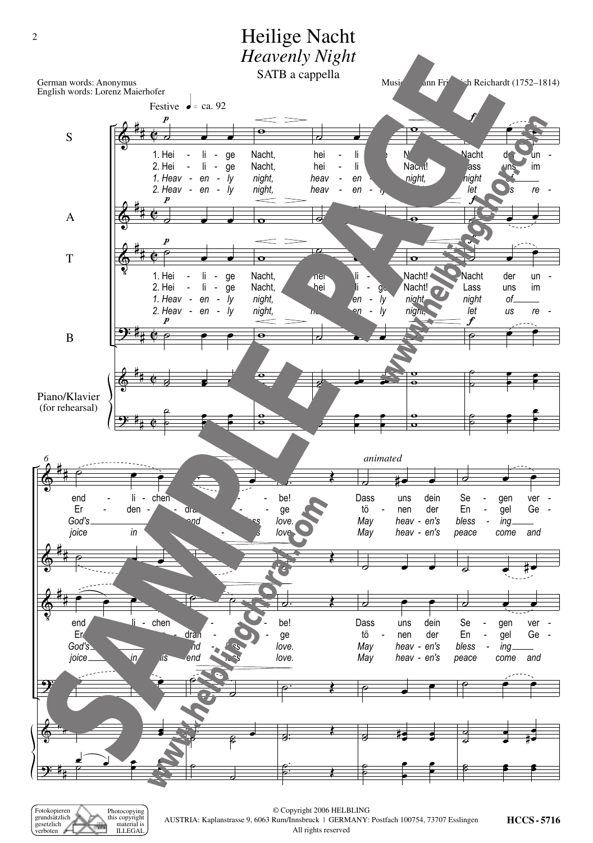

Fotokopieren<br>grundsätzlich Photocopying<br>this copyright gesetzlich material is<br>ILLEGAL erboten

© Copyright 2006 HELBLING AUSTRIA: Kaplanstrasse 9, 6063 Rum/Innsbruck | GERMANY: Postfach 100754, 73707 Esslingen All rights reserved